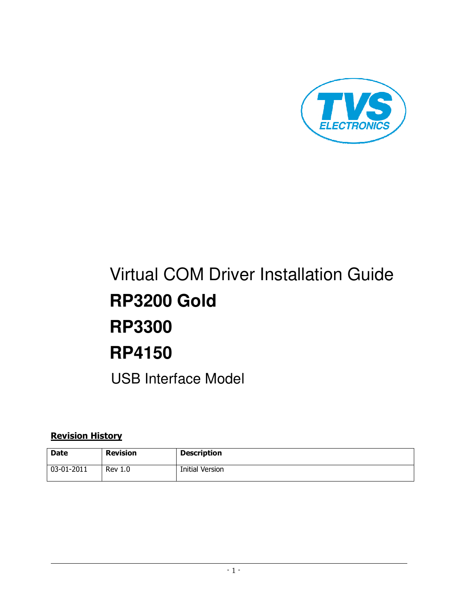

# Virtual COM Driver Installation Guide **RP3200 Gold RP3300 RP4150**  USB Interface Model

# Revision History

| Date       | <b>Revision</b> | <b>Description</b> |
|------------|-----------------|--------------------|
| 03-01-2011 | <b>Rev 1.0</b>  | Initial Version    |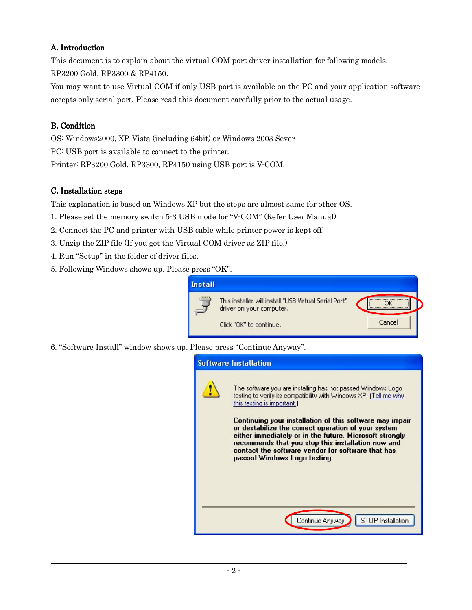#### A. Introduction

This document is to explain about the virtual COM port driver installation for following models. RP3200 Gold, RP3300 & RP4150.

You may want to use Virtual COM if only USB port is available on the PC and your application software accepts only serial port. Please read this document carefully prior to the actual usage.

### B. Condition

 $\ddot{\phantom{a}}$ 

OS: Windows2000, XP, Vista (including 64bit) or Windows 2003 Sever PC: USB port is available to connect to the printer. Printer: RP3200 Gold, RP3300, RP4150 using USB port is V-COM.

#### C. Installation steps

This explanation is based on Windows XP but the steps are almost same for other OS.

- 1. Please set the memory switch 5-3 USB mode for "V-COM" (Refer User Manual)
- 2. Connect the PC and printer with USB cable while printer power is kept off.
- 3. Unzip the ZIP file (If you get the Virtual COM driver as ZIP file.)
- 4. Run "Setup" in the folder of driver files.
- 5. Following Windows shows up. Please press "OK".



6. "Software Install" window shows up. Please press "Continue Anyway".

| <b>Software Installation</b>                                                                                                                                                                                                                                                                                                                                                                                                                                                             |
|------------------------------------------------------------------------------------------------------------------------------------------------------------------------------------------------------------------------------------------------------------------------------------------------------------------------------------------------------------------------------------------------------------------------------------------------------------------------------------------|
| The software you are installing has not passed Windows Logo<br>testing to verify its compatibility with Windows XP. [Tell me why<br>this testing is important.)<br>Continuing your installation of this software may impair<br>or destabilize the correct operation of your system<br>either immediately or in the future. Microsoft strongly<br>recommends that you stop this installation now and<br>contact the software vendor for software that has<br>passed Windows Logo testing. |
| <b>STOP</b> Installation<br>Continue Anyway                                                                                                                                                                                                                                                                                                                                                                                                                                              |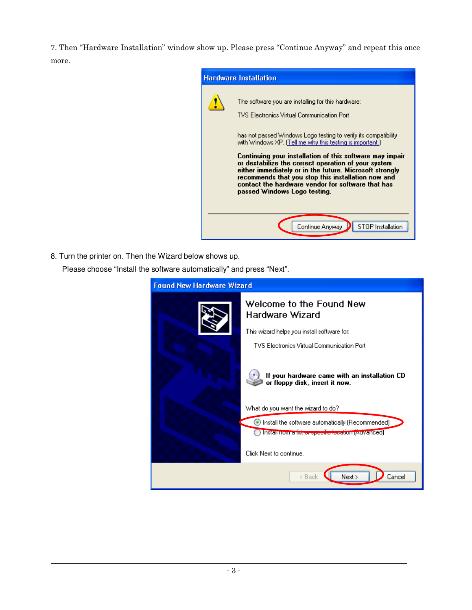7. Then "Hardware Installation" window show up. Please press "Continue Anyway" and repeat this once more.



8. Turn the printer on. Then the Wizard below shows up. Please choose "Install the software automatically" and press "Next".

| <b>Found New Hardware Wizard</b> |                                                                                                                       |
|----------------------------------|-----------------------------------------------------------------------------------------------------------------------|
|                                  | Welcome to the Found New<br>Hardware Wizard                                                                           |
|                                  | This wizard helps you install software for:                                                                           |
|                                  | <b>TVS Electronics Virtual Communication Port</b>                                                                     |
|                                  | If your hardware came with an installation CD<br>or floppy disk, insert it now.<br>What do you want the wizard to do? |
|                                  |                                                                                                                       |
|                                  | Install the software automatically (Recommended)<br>Install from a list or specific location (Auvanced)               |
|                                  | Click Next to continue.                                                                                               |
|                                  | Next ><br>Cancel<br>< Back                                                                                            |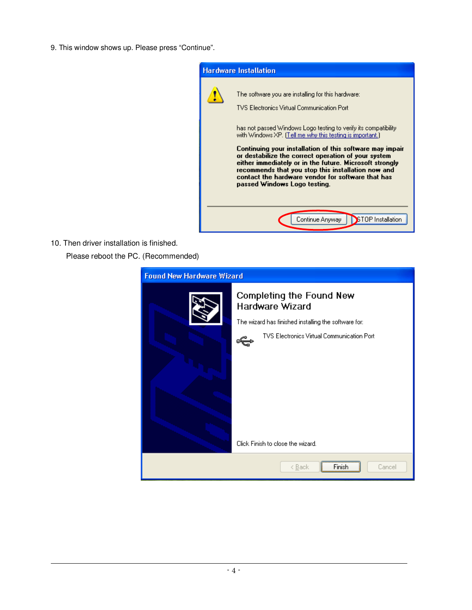9. This window shows up. Please press "Continue".



10. Then driver installation is finished.

 $\ddot{\phantom{a}}$ 

Please reboot the PC. (Recommended)

| <b>Found New Hardware Wizard</b> |                                                                                                            |
|----------------------------------|------------------------------------------------------------------------------------------------------------|
|                                  | Completing the Found New<br><b>Hardware Wizard</b><br>The wizard has finished installing the software for: |
|                                  | <b>TVS Electronics Virtual Communication Port</b>                                                          |
|                                  | Click Finish to close the wizard.                                                                          |
|                                  | Cancel<br>< <u>B</u> ack<br>Finish                                                                         |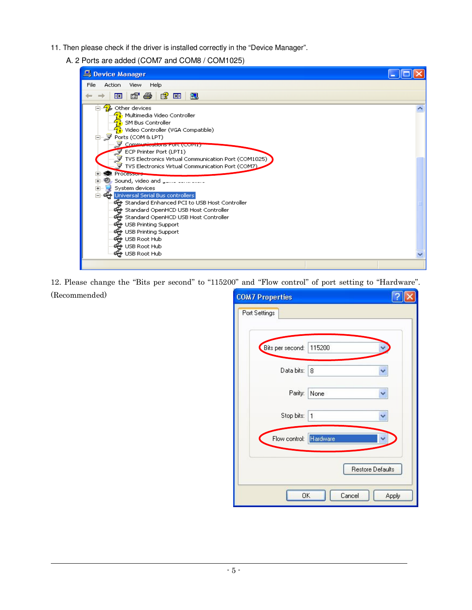- 11. Then please check if the driver is installed correctly in the "Device Manager".
	- A. 2 Ports are added (COM7 and COM8 / COM1025)

| Device Manager                                                                                                                                                                                                                                                                                                                                                                                                                                                                                                                                                                                                                                                                                                                                                                              |  |
|---------------------------------------------------------------------------------------------------------------------------------------------------------------------------------------------------------------------------------------------------------------------------------------------------------------------------------------------------------------------------------------------------------------------------------------------------------------------------------------------------------------------------------------------------------------------------------------------------------------------------------------------------------------------------------------------------------------------------------------------------------------------------------------------|--|
| File<br>Action<br><b>View</b><br>Help                                                                                                                                                                                                                                                                                                                                                                                                                                                                                                                                                                                                                                                                                                                                                       |  |
| 67 <del>63</del> 63 63 20<br>晅                                                                                                                                                                                                                                                                                                                                                                                                                                                                                                                                                                                                                                                                                                                                                              |  |
| Other devices<br><b>i</b> . Multimedia Video Controller<br>SM Bus Controller<br>? Video Controller (VGA Compatible)<br>□ y Ports (COM & LPT)<br>Communications POR (COMI)<br>ECP Printer Port (LPT1)<br>$\mathbb {Y}$ TVS Electronics Virtual Communication Port (COM1025) $\dot{}$<br>$\overline{\mathcal{Y}}$ TVS Electronics Virtual Communication Port (COM7).<br><b>R</b> Processors<br>___ Sound, video and __ __ __<br>$\overline{+}$<br>System devices<br>庙<br>∙⊖ Universal Serial Bus controllers<br>Ė<br>Standard Enhanced PCI to USB Host Controller<br>Standard OpenHCD USB Host Controller<br>Standard OpenHCD USB Host Controller<br>€ USB Printing Support<br>€ USB Printing Support<br><del>∉</del> USB Root Hub<br><del>∉</del> USB Root Hub<br><del>⊖ో</del> USB Root Hub |  |
|                                                                                                                                                                                                                                                                                                                                                                                                                                                                                                                                                                                                                                                                                                                                                                                             |  |

12. Please change the "Bits per second" to "115200" and "Flow control" of port setting to "Hardware".

(Recommended)

| <b>COM7 Properties</b> |                  |
|------------------------|------------------|
| Port Settings          |                  |
| Bits per second:       | 115200           |
| Data bits:             | 8                |
| Parity:                | None             |
| Stop bits:             | 1                |
| Flow control: Hardware |                  |
|                        | Restore Defaults |
| 0K                     | Cancel<br>Apply  |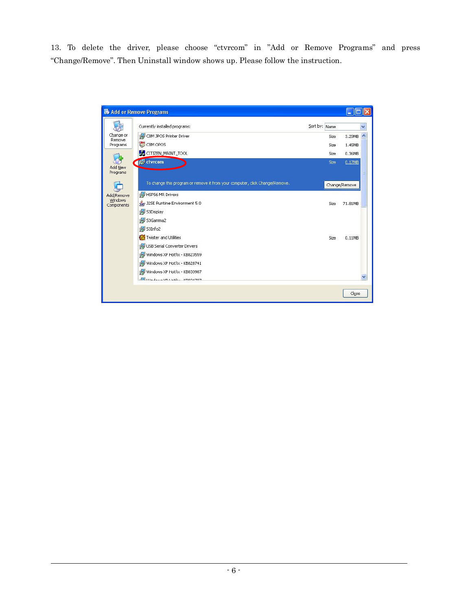13. To delete the driver, please choose "ctvrcom" in "Add or Remove Programs" and press "Change/Remove". Then Uninstall window shows up. Please follow the instruction.

|                       | Add or Remove Programs                                                       |               |               |  |
|-----------------------|------------------------------------------------------------------------------|---------------|---------------|--|
|                       | Currently installed programs:                                                | Sort by: Name |               |  |
| Change or<br>Remove   | CBM JPOS Printer Driver                                                      | Size          | 3.29MB        |  |
| Programs              | ¦an<br>K<br>CBM OPOS                                                         | Size          | 1.45MB        |  |
|                       | <b>B</b> CITIZEN_MAINT_TOOL                                                  | Size          | 0.36MB        |  |
| Add New<br>Programs   | <b>Instruction</b>                                                           | Size          | 0.17MB<br>Ξ   |  |
|                       | To change this program or remove it from your computer, click Change/Remove. |               | Change/Remove |  |
| Add/Remove<br>Windows | HSP56 MR Drivers                                                             |               |               |  |
| Components            | J2SE Runtime Environment 5.0                                                 | Size          | 71.81MB       |  |
|                       | 53Display                                                                    |               |               |  |
|                       | S3Gamma2                                                                     |               |               |  |
|                       | <b>is3Info2</b>                                                              |               |               |  |
|                       | Twister and Utilities                                                        | Size          | 0.11MB        |  |
|                       | USB Serial Converter Drivers                                                 |               |               |  |
|                       | Windows XP Hotfix - KB823559                                                 |               |               |  |
|                       | Windows XP Hotfix - KB828741                                                 |               |               |  |
|                       | Windows XP Hotfix - KB833987                                                 |               |               |  |
|                       | del medicine volunte in programma                                            |               |               |  |
|                       |                                                                              |               | Close         |  |